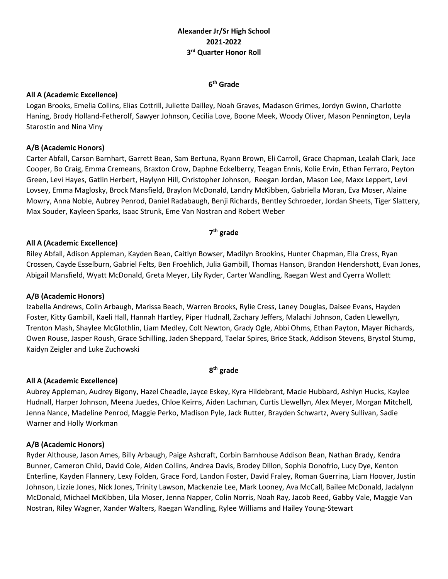# **Alexander Jr/Sr High School 2021-2022 3 rd Quarter Honor Roll**

### **6 th Grade**

#### **All A (Academic Excellence)**

Logan Brooks, Emelia Collins, Elias Cottrill, Juliette Dailley, Noah Graves, Madason Grimes, Jordyn Gwinn, Charlotte Haning, Brody Holland-Fetherolf, Sawyer Johnson, Cecilia Love, Boone Meek, Woody Oliver, Mason Pennington, Leyla Starostin and Nina Viny

### **A/B (Academic Honors)**

Carter Abfall, Carson Barnhart, Garrett Bean, Sam Bertuna, Ryann Brown, Eli Carroll, Grace Chapman, Lealah Clark, Jace Cooper, Bo Craig, Emma Cremeans, Braxton Crow, Daphne Eckelberry, Teagan Ennis, Kolie Ervin, Ethan Ferraro, Peyton Green, Levi Hayes, Gatlin Herbert, Haylynn Hill, Christopher Johnson, Reegan Jordan, Mason Lee, Maxx Leppert, Levi Lovsey, Emma Maglosky, Brock Mansfield, Braylon McDonald, Landry McKibben, Gabriella Moran, Eva Moser, Alaine Mowry, Anna Noble, Aubrey Penrod, Daniel Radabaugh, Benji Richards, Bentley Schroeder, Jordan Sheets, Tiger Slattery, Max Souder, Kayleen Sparks, Isaac Strunk, Eme Van Nostran and Robert Weber

#### **7 th grade**

#### **All A (Academic Excellence)**

Riley Abfall, Adison Appleman, Kayden Bean, Caitlyn Bowser, Madilyn Brookins, Hunter Chapman, Ella Cress, Ryan Crossen, Cayde Esselburn, Gabriel Felts, Ben Froehlich, Julia Gambill, Thomas Hanson, Brandon Hendershott, Evan Jones, Abigail Mansfield, Wyatt McDonald, Greta Meyer, Lily Ryder, Carter Wandling, Raegan West and Cyerra Wollett

### **A/B (Academic Honors)**

Izabella Andrews, Colin Arbaugh, Marissa Beach, Warren Brooks, Rylie Cress, Laney Douglas, Daisee Evans, Hayden Foster, Kitty Gambill, Kaeli Hall, Hannah Hartley, Piper Hudnall, Zachary Jeffers, Malachi Johnson, Caden Llewellyn, Trenton Mash, Shaylee McGlothlin, Liam Medley, Colt Newton, Grady Ogle, Abbi Ohms, Ethan Payton, Mayer Richards, Owen Rouse, Jasper Roush, Grace Schilling, Jaden Sheppard, Taelar Spires, Brice Stack, Addison Stevens, Brystol Stump, Kaidyn Zeigler and Luke Zuchowski

### **8 th grade**

### **All A (Academic Excellence)**

Aubrey Appleman, Audrey Bigony, Hazel Cheadle, Jayce Eskey, Kyra Hildebrant, Macie Hubbard, Ashlyn Hucks, Kaylee Hudnall, Harper Johnson, Meena Juedes, Chloe Keirns, Aiden Lachman, Curtis Llewellyn, Alex Meyer, Morgan Mitchell, Jenna Nance, Madeline Penrod, Maggie Perko, Madison Pyle, Jack Rutter, Brayden Schwartz, Avery Sullivan, Sadie Warner and Holly Workman

### **A/B (Academic Honors)**

Ryder Althouse, Jason Ames, Billy Arbaugh, Paige Ashcraft, Corbin Barnhouse Addison Bean, Nathan Brady, Kendra Bunner, Cameron Chiki, David Cole, Aiden Collins, Andrea Davis, Brodey Dillon, Sophia Donofrio, Lucy Dye, Kenton Enterline, Kayden Flannery, Lexy Folden, Grace Ford, Landon Foster, David Fraley, Roman Guerrina, Liam Hoover, Justin Johnson, Lizzie Jones, Nick Jones, Trinity Lawson, Mackenzie Lee, Mark Looney, Ava McCall, Bailee McDonald, Jadalynn McDonald, Michael McKibben, Lila Moser, Jenna Napper, Colin Norris, Noah Ray, Jacob Reed, Gabby Vale, Maggie Van Nostran, Riley Wagner, Xander Walters, Raegan Wandling, Rylee Williams and Hailey Young-Stewart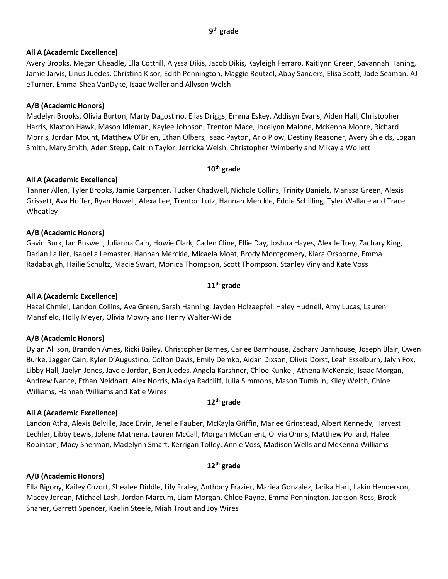### **9 th grade**

### **All A (Academic Excellence)**

Avery Brooks, Megan Cheadle, Ella Cottrill, Alyssa Dikis, Jacob Dikis, Kayleigh Ferraro, Kaitlynn Green, Savannah Haning, Jamie Jarvis, Linus Juedes, Christina Kisor, Edith Pennington, Maggie Reutzel, Abby Sanders, Elisa Scott, Jade Seaman, AJ eTurner, Emma-Shea VanDyke, Isaac Waller and Allyson Welsh

## **A/B (Academic Honors)**

Madelyn Brooks, Olivia Burton, Marty Dagostino, Elias Driggs, Emma Eskey, Addisyn Evans, Aiden Hall, Christopher Harris, Klaxton Hawk, Mason Idleman, Kaylee Johnson, Trenton Mace, Jocelynn Malone, McKenna Moore, Richard Morris, Jordan Mount, Matthew O'Brien, Ethan Olbers, Isaac Payton, Arlo Plow, Destiny Reasoner, Avery Shields, Logan Smith, Mary Smith, Aden Stepp, Caitlin Taylor, Jerricka Welsh, Christopher Wimberly and Mikayla Wollett

## **10th grade**

## **All A (Academic Excellence)**

Tanner Allen, Tyler Brooks, Jamie Carpenter, Tucker Chadwell, Nichole Collins, Trinity Daniels, Marissa Green, Alexis Grissett, Ava Hoffer, Ryan Howell, Alexa Lee, Trenton Lutz, Hannah Merckle, Eddie Schilling, Tyler Wallace and Trace Wheatley

### **A/B (Academic Honors)**

Gavin Burk, Ian Buswell, Julianna Cain, Howie Clark, Caden Cline, Ellie Day, Joshua Hayes, Alex Jeffrey, Zachary King, Darian Lallier, Isabella Lemaster, Hannah Merckle, Micaela Moat, Brody Montgomery, Kiara Orsborne, Emma Radabaugh, Hailie Schultz, Macie Swart, Monica Thompson, Scott Thompson, Stanley Viny and Kate Voss

## **11th grade**

### **All A (Academic Excellence)**

Hazel Chmiel, Landon Collins, Ava Green, Sarah Hanning, Jayden Holzaepfel, Haley Hudnell, Amy Lucas, Lauren Mansfield, Holly Meyer, Olivia Mowry and Henry Walter-Wilde

### **A/B (Academic Honors)**

Dylan Allison, Brandon Ames, Ricki Bailey, Christopher Barnes, Carlee Barnhouse, Zachary Barnhouse, Joseph Blair, Owen Burke, Jagger Cain, Kyler D'Augustino, Colton Davis, Emily Demko, Aidan Dixson, Olivia Dorst, Leah Esselburn, Jalyn Fox, Libby Hall, Jaelyn Jones, Jaycie Jordan, Ben Juedes, Angela Karshner, Chloe Kunkel, Athena McKenzie, Isaac Morgan, Andrew Nance, Ethan Neidhart, Alex Norris, Makiya Radcliff, Julia Simmons, Mason Tumblin, Kiley Welch, Chloe Williams, Hannah Williams and Katie Wires

### **12th grade**

## **All A (Academic Excellence)**

Landon Atha, Alexis Belville, Jace Ervin, Jenelle Fauber, McKayla Griffin, Marlee Grinstead, Albert Kennedy, Harvest Lechler, Libby Lewis, Jolene Mathena, Lauren McCall, Morgan McCament, Olivia Ohms, Matthew Pollard, Halee Robinson, Macy Sherman, Madelynn Smart, Kerrigan Tolley, Annie Voss, Madison Wells and McKenna Williams

## **12th grade**

## **A/B (Academic Honors)**

Ella Bigony, Kailey Cozort, Shealee Diddle, Lily Fraley, Anthony Frazier, Mariea Gonzalez, Jarika Hart, Lakin Henderson, Macey Jordan, Michael Lash, Jordan Marcum, Liam Morgan, Chloe Payne, Emma Pennington, Jackson Ross, Brock Shaner, Garrett Spencer, Kaelin Steele, Miah Trout and Joy Wires